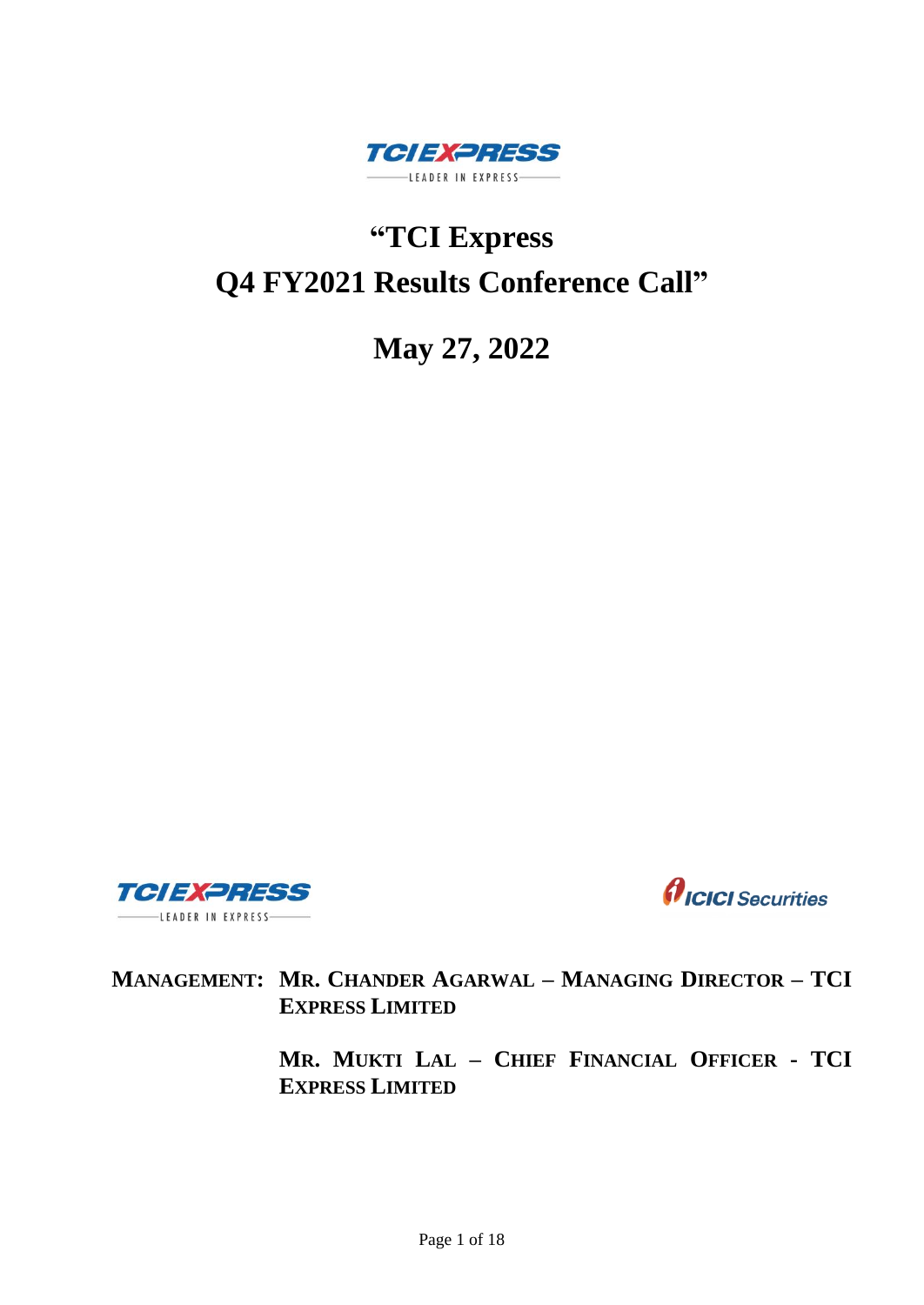

## **"TCI Express Q4 FY2021 Results Conference Call"**

**May 27, 2022**





**MANAGEMENT: MR. CHANDER AGARWAL – MANAGING DIRECTOR – TCI EXPRESS LIMITED**

> **MR. MUKTI LAL – CHIEF FINANCIAL OFFICER - TCI EXPRESS LIMITED**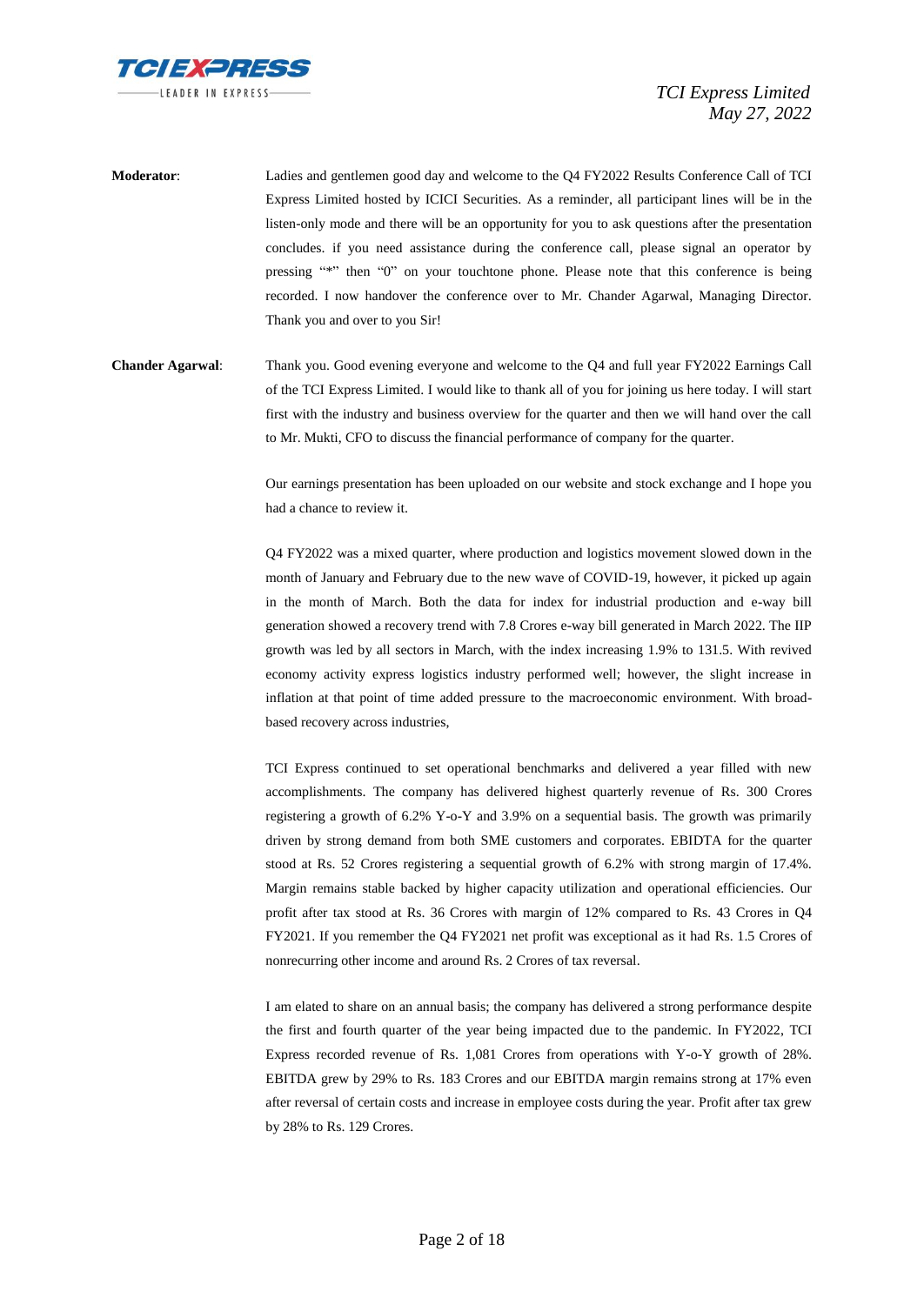

- **Moderator**: Ladies and gentlemen good day and welcome to the Q4 FY2022 Results Conference Call of TCI Express Limited hosted by ICICI Securities. As a reminder, all participant lines will be in the listen-only mode and there will be an opportunity for you to ask questions after the presentation concludes. if you need assistance during the conference call, please signal an operator by pressing "\*" then "0" on your touchtone phone. Please note that this conference is being recorded. I now handover the conference over to Mr. Chander Agarwal, Managing Director. Thank you and over to you Sir!
- **Chander Agarwal**: Thank you. Good evening everyone and welcome to the Q4 and full year FY2022 Earnings Call of the TCI Express Limited. I would like to thank all of you for joining us here today. I will start first with the industry and business overview for the quarter and then we will hand over the call to Mr. Mukti, CFO to discuss the financial performance of company for the quarter.

Our earnings presentation has been uploaded on our website and stock exchange and I hope you had a chance to review it.

Q4 FY2022 was a mixed quarter, where production and logistics movement slowed down in the month of January and February due to the new wave of COVID-19, however, it picked up again in the month of March. Both the data for index for industrial production and e-way bill generation showed a recovery trend with 7.8 Crores e-way bill generated in March 2022. The IIP growth was led by all sectors in March, with the index increasing 1.9% to 131.5. With revived economy activity express logistics industry performed well; however, the slight increase in inflation at that point of time added pressure to the macroeconomic environment. With broadbased recovery across industries,

TCI Express continued to set operational benchmarks and delivered a year filled with new accomplishments. The company has delivered highest quarterly revenue of Rs. 300 Crores registering a growth of 6.2% Y-o-Y and 3.9% on a sequential basis. The growth was primarily driven by strong demand from both SME customers and corporates. EBIDTA for the quarter stood at Rs. 52 Crores registering a sequential growth of 6.2% with strong margin of 17.4%. Margin remains stable backed by higher capacity utilization and operational efficiencies. Our profit after tax stood at Rs. 36 Crores with margin of 12% compared to Rs. 43 Crores in Q4 FY2021. If you remember the Q4 FY2021 net profit was exceptional as it had Rs. 1.5 Crores of nonrecurring other income and around Rs. 2 Crores of tax reversal.

I am elated to share on an annual basis; the company has delivered a strong performance despite the first and fourth quarter of the year being impacted due to the pandemic. In FY2022, TCI Express recorded revenue of Rs. 1,081 Crores from operations with Y-o-Y growth of 28%. EBITDA grew by 29% to Rs. 183 Crores and our EBITDA margin remains strong at 17% even after reversal of certain costs and increase in employee costs during the year. Profit after tax grew by 28% to Rs. 129 Crores.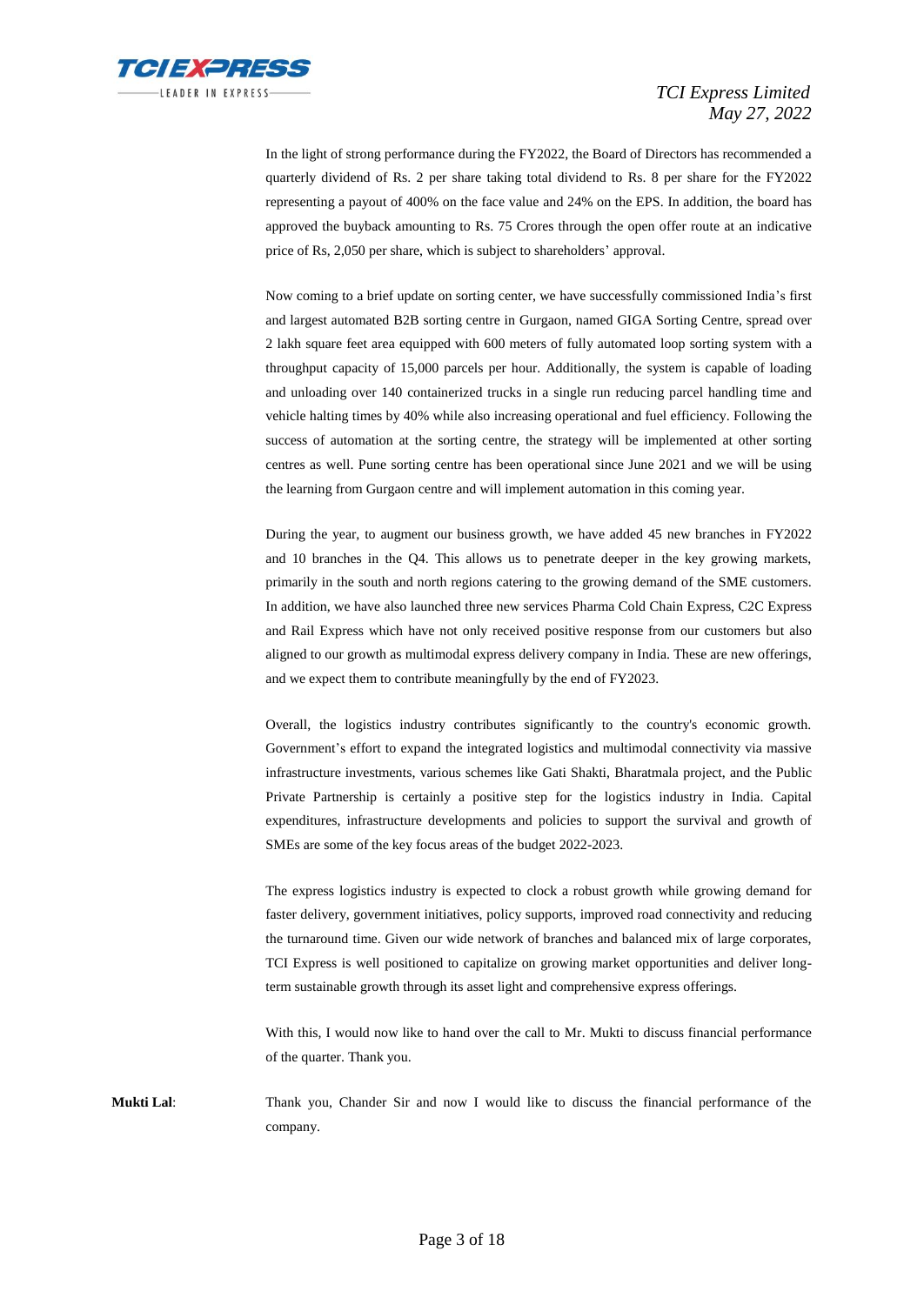

In the light of strong performance during the FY2022, the Board of Directors has recommended a quarterly dividend of Rs. 2 per share taking total dividend to Rs. 8 per share for the FY2022 representing a payout of 400% on the face value and 24% on the EPS. In addition, the board has approved the buyback amounting to Rs. 75 Crores through the open offer route at an indicative price of Rs, 2,050 per share, which is subject to shareholders' approval.

Now coming to a brief update on sorting center, we have successfully commissioned India's first and largest automated B2B sorting centre in Gurgaon, named GIGA Sorting Centre, spread over 2 lakh square feet area equipped with 600 meters of fully automated loop sorting system with a throughput capacity of 15,000 parcels per hour. Additionally, the system is capable of loading and unloading over 140 containerized trucks in a single run reducing parcel handling time and vehicle halting times by 40% while also increasing operational and fuel efficiency. Following the success of automation at the sorting centre, the strategy will be implemented at other sorting centres as well. Pune sorting centre has been operational since June 2021 and we will be using the learning from Gurgaon centre and will implement automation in this coming year.

During the year, to augment our business growth, we have added 45 new branches in FY2022 and 10 branches in the Q4. This allows us to penetrate deeper in the key growing markets, primarily in the south and north regions catering to the growing demand of the SME customers. In addition, we have also launched three new services Pharma Cold Chain Express, C2C Express and Rail Express which have not only received positive response from our customers but also aligned to our growth as multimodal express delivery company in India. These are new offerings, and we expect them to contribute meaningfully by the end of FY2023.

Overall, the logistics industry contributes significantly to the country's economic growth. Government's effort to expand the integrated logistics and multimodal connectivity via massive infrastructure investments, various schemes like Gati Shakti, Bharatmala project, and the Public Private Partnership is certainly a positive step for the logistics industry in India. Capital expenditures, infrastructure developments and policies to support the survival and growth of SMEs are some of the key focus areas of the budget 2022-2023.

The express logistics industry is expected to clock a robust growth while growing demand for faster delivery, government initiatives, policy supports, improved road connectivity and reducing the turnaround time. Given our wide network of branches and balanced mix of large corporates, TCI Express is well positioned to capitalize on growing market opportunities and deliver longterm sustainable growth through its asset light and comprehensive express offerings.

With this, I would now like to hand over the call to Mr. Mukti to discuss financial performance of the quarter. Thank you.

**Mukti Lal**: Thank you, Chander Sir and now I would like to discuss the financial performance of the company.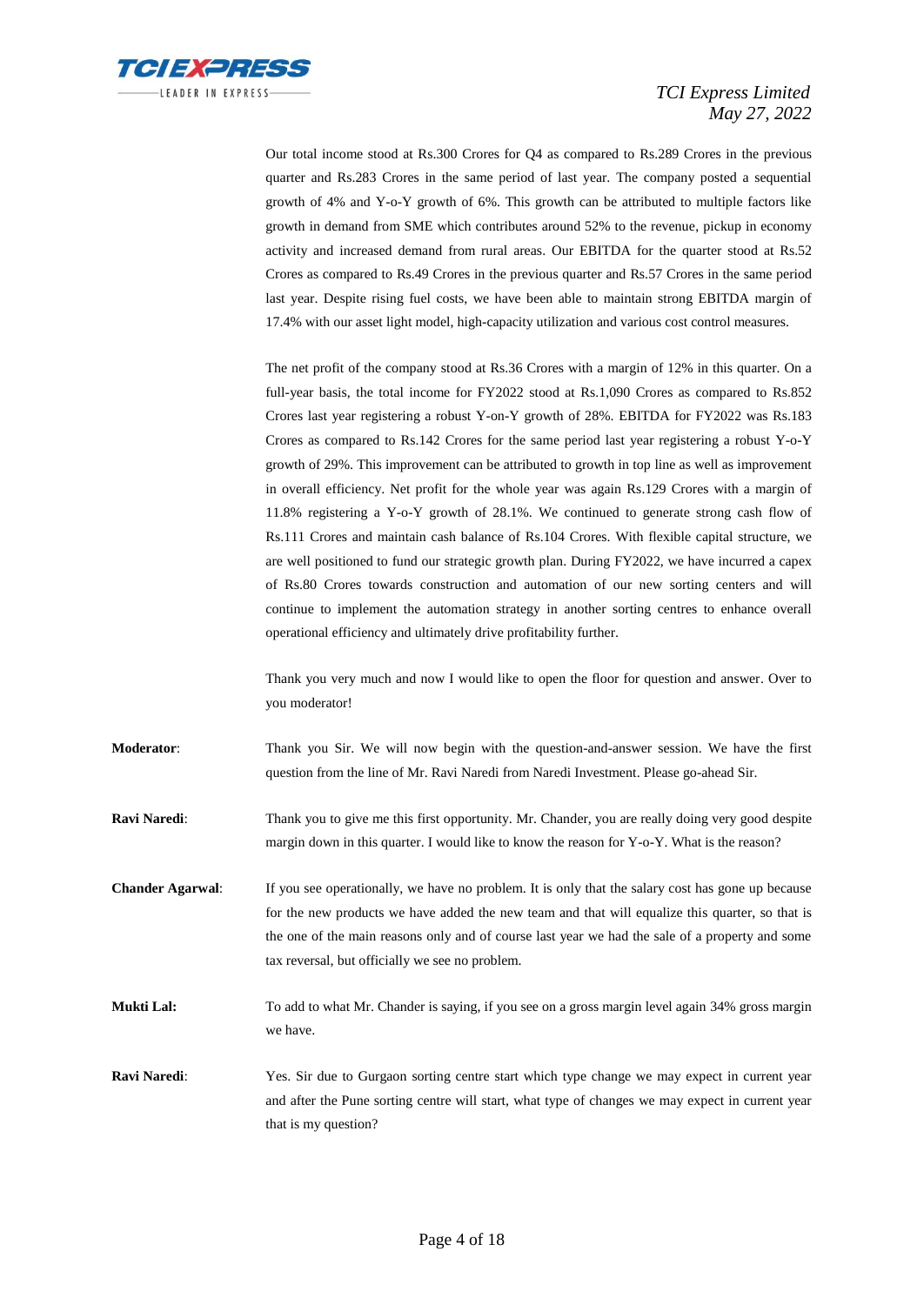

Our total income stood at Rs.300 Crores for Q4 as compared to Rs.289 Crores in the previous quarter and Rs.283 Crores in the same period of last year. The company posted a sequential growth of 4% and Y-o-Y growth of 6%. This growth can be attributed to multiple factors like growth in demand from SME which contributes around 52% to the revenue, pickup in economy activity and increased demand from rural areas. Our EBITDA for the quarter stood at Rs.52 Crores as compared to Rs.49 Crores in the previous quarter and Rs.57 Crores in the same period last year. Despite rising fuel costs, we have been able to maintain strong EBITDA margin of 17.4% with our asset light model, high-capacity utilization and various cost control measures.

The net profit of the company stood at Rs.36 Crores with a margin of 12% in this quarter. On a full-year basis, the total income for FY2022 stood at Rs.1,090 Crores as compared to Rs.852 Crores last year registering a robust Y-on-Y growth of 28%. EBITDA for FY2022 was Rs.183 Crores as compared to Rs.142 Crores for the same period last year registering a robust Y-o-Y growth of 29%. This improvement can be attributed to growth in top line as well as improvement in overall efficiency. Net profit for the whole year was again Rs.129 Crores with a margin of 11.8% registering a Y-o-Y growth of 28.1%. We continued to generate strong cash flow of Rs.111 Crores and maintain cash balance of Rs.104 Crores. With flexible capital structure, we are well positioned to fund our strategic growth plan. During FY2022, we have incurred a capex of Rs.80 Crores towards construction and automation of our new sorting centers and will continue to implement the automation strategy in another sorting centres to enhance overall operational efficiency and ultimately drive profitability further.

Thank you very much and now I would like to open the floor for question and answer. Over to you moderator!

**Moderator**: Thank you Sir. We will now begin with the question-and-answer session. We have the first question from the line of Mr. Ravi Naredi from Naredi Investment. Please go-ahead Sir.

**Ravi Naredi:** Thank you to give me this first opportunity. Mr. Chander, you are really doing very good despite margin down in this quarter. I would like to know the reason for Y-o-Y. What is the reason?

**Chander Agarwal**: If you see operationally, we have no problem. It is only that the salary cost has gone up because for the new products we have added the new team and that will equalize this quarter, so that is the one of the main reasons only and of course last year we had the sale of a property and some tax reversal, but officially we see no problem.

**Mukti Lal:** To add to what Mr. Chander is saying, if you see on a gross margin level again 34% gross margin we have.

**Ravi Naredi**: Yes. Sir due to Gurgaon sorting centre start which type change we may expect in current year and after the Pune sorting centre will start, what type of changes we may expect in current year that is my question?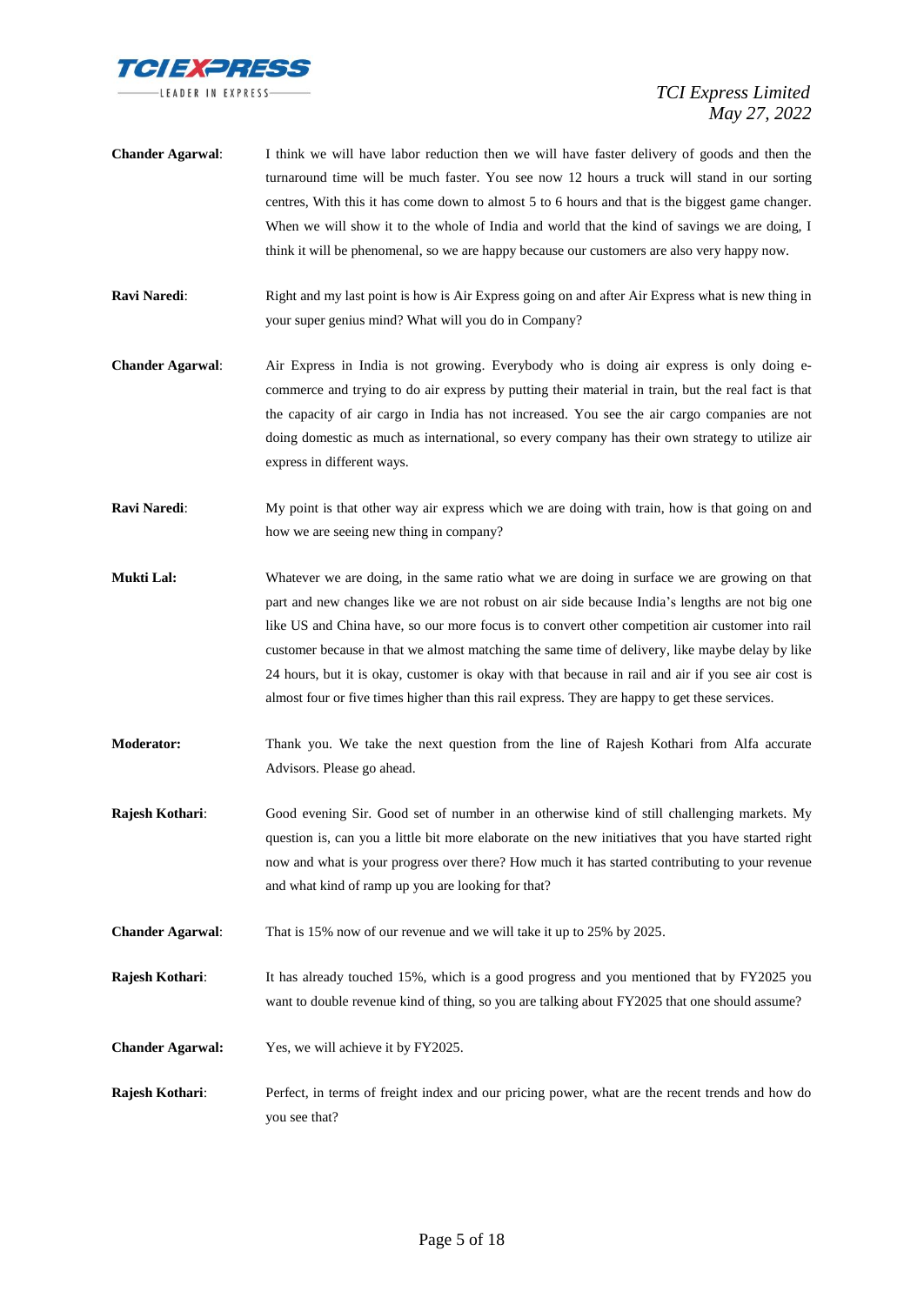

- **Chander Agarwal**: I think we will have labor reduction then we will have faster delivery of goods and then the turnaround time will be much faster. You see now 12 hours a truck will stand in our sorting centres, With this it has come down to almost 5 to 6 hours and that is the biggest game changer. When we will show it to the whole of India and world that the kind of savings we are doing, I think it will be phenomenal, so we are happy because our customers are also very happy now.
- **Ravi Naredi:** Right and my last point is how is Air Express going on and after Air Express what is new thing in your super genius mind? What will you do in Company?
- **Chander Agarwal**: Air Express in India is not growing. Everybody who is doing air express is only doing ecommerce and trying to do air express by putting their material in train, but the real fact is that the capacity of air cargo in India has not increased. You see the air cargo companies are not doing domestic as much as international, so every company has their own strategy to utilize air express in different ways.
- **Ravi Naredi:** My point is that other way air express which we are doing with train, how is that going on and how we are seeing new thing in company?
- **Mukti Lal:** Whatever we are doing, in the same ratio what we are doing in surface we are growing on that part and new changes like we are not robust on air side because India's lengths are not big one like US and China have, so our more focus is to convert other competition air customer into rail customer because in that we almost matching the same time of delivery, like maybe delay by like 24 hours, but it is okay, customer is okay with that because in rail and air if you see air cost is almost four or five times higher than this rail express. They are happy to get these services.
- **Moderator:** Thank you. We take the next question from the line of Rajesh Kothari from Alfa accurate Advisors. Please go ahead.
- **Rajesh Kothari**: Good evening Sir. Good set of number in an otherwise kind of still challenging markets. My question is, can you a little bit more elaborate on the new initiatives that you have started right now and what is your progress over there? How much it has started contributing to your revenue and what kind of ramp up you are looking for that?
- **Chander Agarwal**: That is 15% now of our revenue and we will take it up to 25% by 2025.
- **Rajesh Kothari:** It has already touched 15%, which is a good progress and you mentioned that by FY2025 you want to double revenue kind of thing, so you are talking about FY2025 that one should assume?
- **Chander Agarwal:** Yes, we will achieve it by FY2025.
- **Rajesh Kothari:** Perfect, in terms of freight index and our pricing power, what are the recent trends and how do you see that?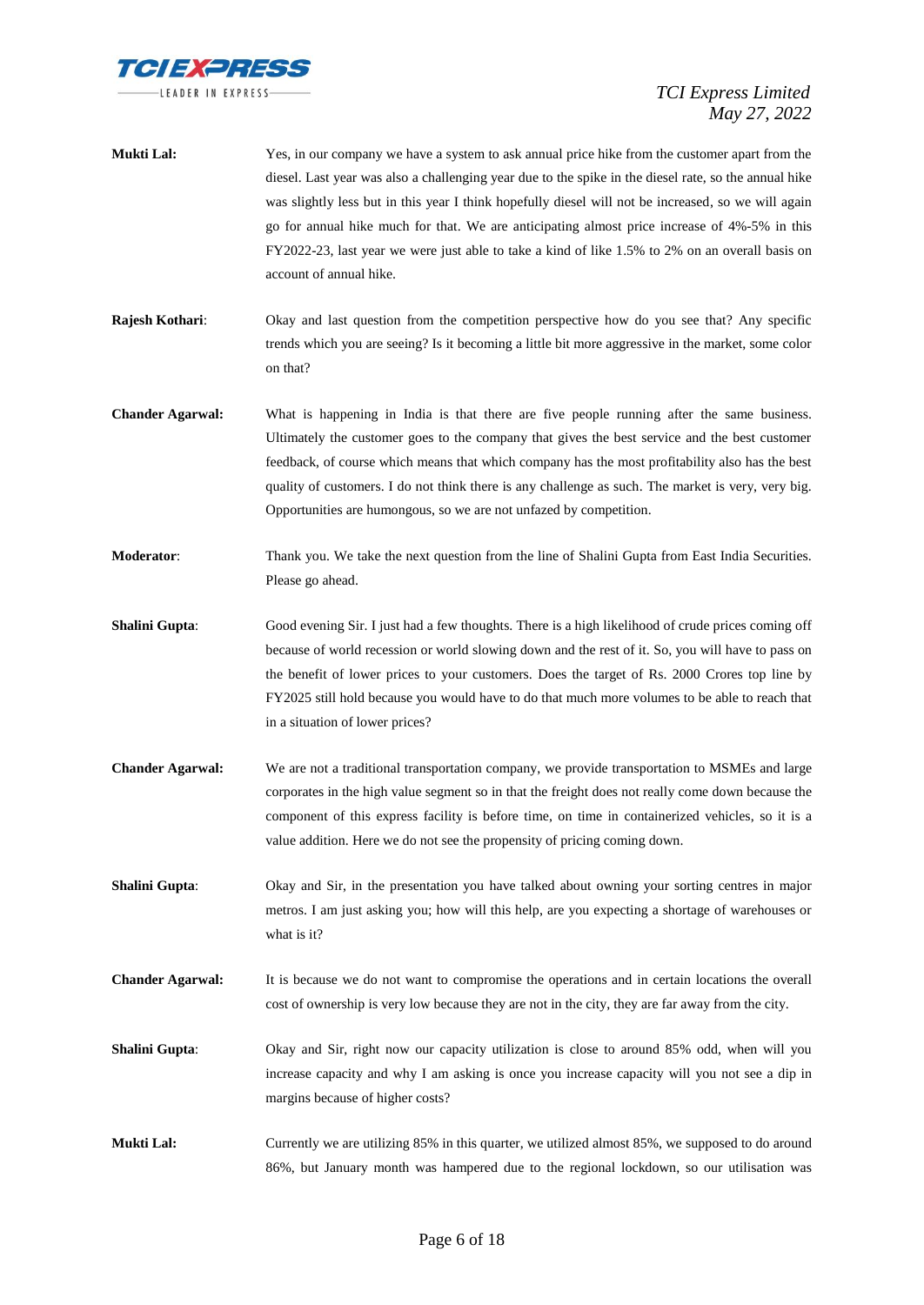

## *TCI Express Limited May 27, 2022*

| Mukti Lal:              | Yes, in our company we have a system to ask annual price hike from the customer apart from the<br>diesel. Last year was also a challenging year due to the spike in the diesel rate, so the annual hike<br>was slightly less but in this year I think hopefully diesel will not be increased, so we will again<br>go for annual hike much for that. We are anticipating almost price increase of 4%-5% in this<br>FY2022-23, last year we were just able to take a kind of like 1.5% to 2% on an overall basis on<br>account of annual hike. |
|-------------------------|----------------------------------------------------------------------------------------------------------------------------------------------------------------------------------------------------------------------------------------------------------------------------------------------------------------------------------------------------------------------------------------------------------------------------------------------------------------------------------------------------------------------------------------------|
| Rajesh Kothari:         | Okay and last question from the competition perspective how do you see that? Any specific<br>trends which you are seeing? Is it becoming a little bit more aggressive in the market, some color<br>on that?                                                                                                                                                                                                                                                                                                                                  |
| <b>Chander Agarwal:</b> | What is happening in India is that there are five people running after the same business.<br>Ultimately the customer goes to the company that gives the best service and the best customer<br>feedback, of course which means that which company has the most profitability also has the best<br>quality of customers. I do not think there is any challenge as such. The market is very, very big.<br>Opportunities are humongous, so we are not unfazed by competition.                                                                    |
| Moderator:              | Thank you. We take the next question from the line of Shalini Gupta from East India Securities.<br>Please go ahead.                                                                                                                                                                                                                                                                                                                                                                                                                          |
| Shalini Gupta:          | Good evening Sir. I just had a few thoughts. There is a high likelihood of crude prices coming off<br>because of world recession or world slowing down and the rest of it. So, you will have to pass on<br>the benefit of lower prices to your customers. Does the target of Rs. 2000 Crores top line by<br>FY2025 still hold because you would have to do that much more volumes to be able to reach that<br>in a situation of lower prices?                                                                                                |
| <b>Chander Agarwal:</b> | We are not a traditional transportation company, we provide transportation to MSMEs and large<br>corporates in the high value segment so in that the freight does not really come down because the<br>component of this express facility is before time, on time in containerized vehicles, so it is a<br>value addition. Here we do not see the propensity of pricing coming down.                                                                                                                                                          |
| <b>Shalini Gupta:</b>   | Okay and Sir, in the presentation you have talked about owning your sorting centres in major<br>metros. I am just asking you; how will this help, are you expecting a shortage of warehouses or<br>what is it?                                                                                                                                                                                                                                                                                                                               |
| <b>Chander Agarwal:</b> | It is because we do not want to compromise the operations and in certain locations the overall<br>cost of ownership is very low because they are not in the city, they are far away from the city.                                                                                                                                                                                                                                                                                                                                           |
| <b>Shalini Gupta:</b>   | Okay and Sir, right now our capacity utilization is close to around 85% odd, when will you<br>increase capacity and why I am asking is once you increase capacity will you not see a dip in<br>margins because of higher costs?                                                                                                                                                                                                                                                                                                              |
| Mukti Lal:              | Currently we are utilizing 85% in this quarter, we utilized almost 85%, we supposed to do around<br>86%, but January month was hampered due to the regional lockdown, so our utilisation was                                                                                                                                                                                                                                                                                                                                                 |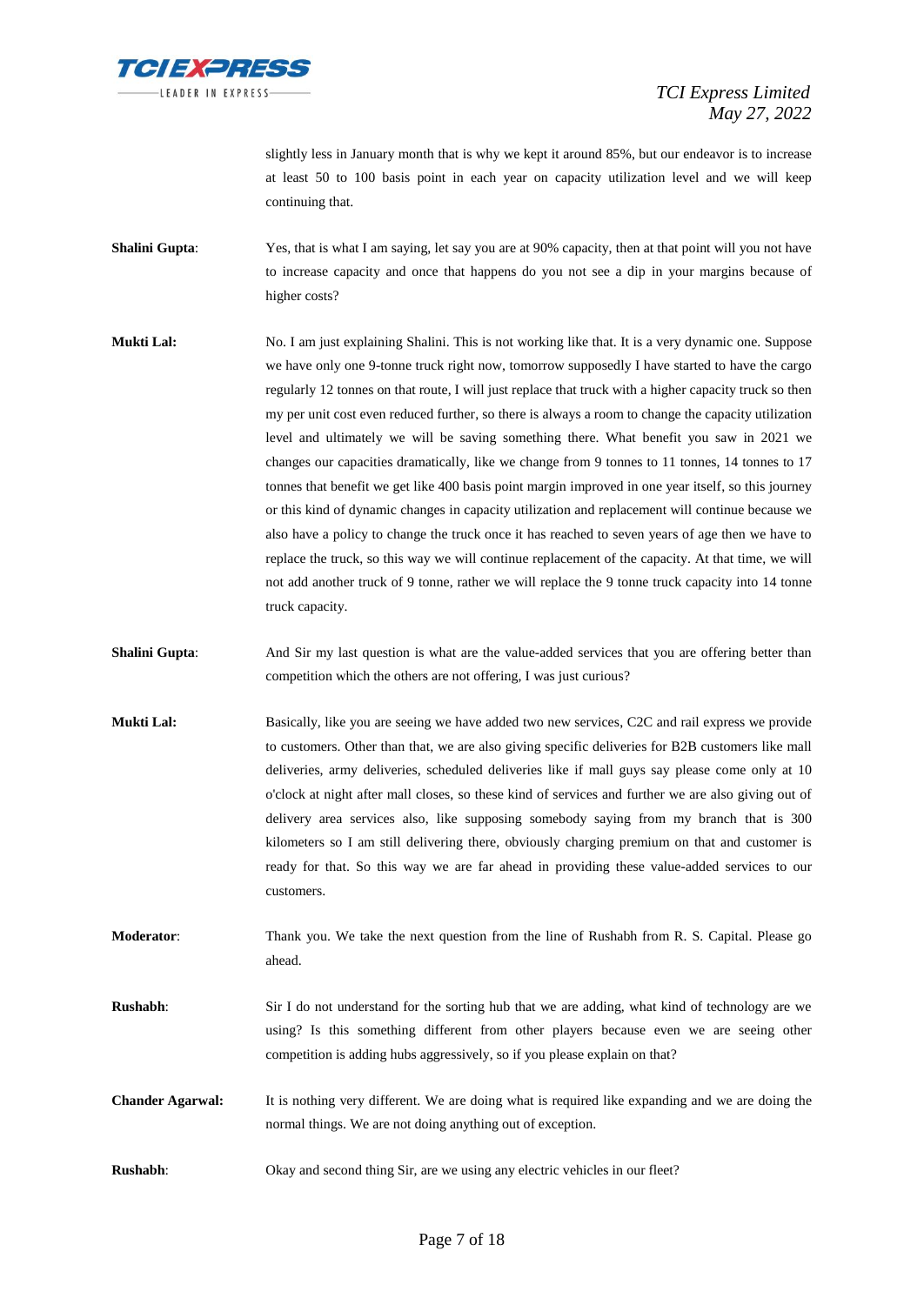

slightly less in January month that is why we kept it around 85%, but our endeavor is to increase at least 50 to 100 basis point in each year on capacity utilization level and we will keep continuing that.

- **Shalini Gupta:** Yes, that is what I am saying, let say you are at 90% capacity, then at that point will you not have to increase capacity and once that happens do you not see a dip in your margins because of higher costs?
- **Mukti Lal:** No. I am just explaining Shalini. This is not working like that. It is a very dynamic one. Suppose we have only one 9-tonne truck right now, tomorrow supposedly I have started to have the cargo regularly 12 tonnes on that route, I will just replace that truck with a higher capacity truck so then my per unit cost even reduced further, so there is always a room to change the capacity utilization level and ultimately we will be saving something there. What benefit you saw in 2021 we changes our capacities dramatically, like we change from 9 tonnes to 11 tonnes, 14 tonnes to 17 tonnes that benefit we get like 400 basis point margin improved in one year itself, so this journey or this kind of dynamic changes in capacity utilization and replacement will continue because we also have a policy to change the truck once it has reached to seven years of age then we have to replace the truck, so this way we will continue replacement of the capacity. At that time, we will not add another truck of 9 tonne, rather we will replace the 9 tonne truck capacity into 14 tonne truck capacity.
- **Shalini Gupta**: And Sir my last question is what are the value-added services that you are offering better than competition which the others are not offering, I was just curious?
- **Mukti Lal:** Basically, like you are seeing we have added two new services, C2C and rail express we provide to customers. Other than that, we are also giving specific deliveries for B2B customers like mall deliveries, army deliveries, scheduled deliveries like if mall guys say please come only at 10 o'clock at night after mall closes, so these kind of services and further we are also giving out of delivery area services also, like supposing somebody saying from my branch that is 300 kilometers so I am still delivering there, obviously charging premium on that and customer is ready for that. So this way we are far ahead in providing these value-added services to our customers.
- **Moderator:** Thank you. We take the next question from the line of Rushabh from R. S. Capital. Please go ahead.
- **Rushabh:** Sir I do not understand for the sorting hub that we are adding, what kind of technology are we using? Is this something different from other players because even we are seeing other competition is adding hubs aggressively, so if you please explain on that?
- **Chander Agarwal:** It is nothing very different. We are doing what is required like expanding and we are doing the normal things. We are not doing anything out of exception.
- **Rushabh:** Okay and second thing Sir, are we using any electric vehicles in our fleet?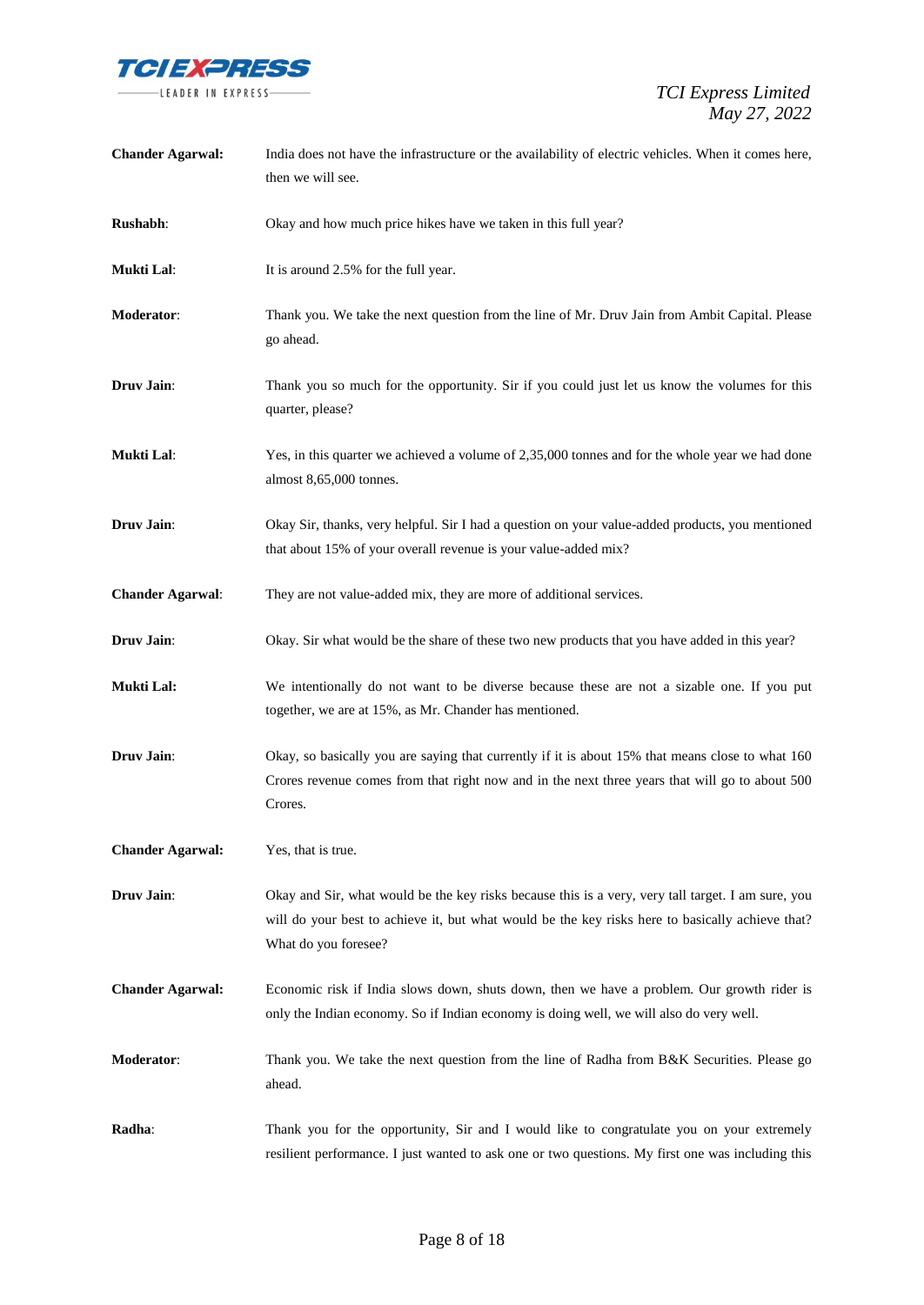

| <b>Chander Agarwal:</b> | India does not have the infrastructure or the availability of electric vehicles. When it comes here,<br>then we will see.                                                                                                      |
|-------------------------|--------------------------------------------------------------------------------------------------------------------------------------------------------------------------------------------------------------------------------|
| Rushabh:                | Okay and how much price hikes have we taken in this full year?                                                                                                                                                                 |
| Mukti Lal:              | It is around 2.5% for the full year.                                                                                                                                                                                           |
| <b>Moderator:</b>       | Thank you. We take the next question from the line of Mr. Druv Jain from Ambit Capital. Please<br>go ahead.                                                                                                                    |
| Druv Jain:              | Thank you so much for the opportunity. Sir if you could just let us know the volumes for this<br>quarter, please?                                                                                                              |
| Mukti Lal:              | Yes, in this quarter we achieved a volume of 2,35,000 tonnes and for the whole year we had done<br>almost 8,65,000 tonnes.                                                                                                     |
| Druv Jain:              | Okay Sir, thanks, very helpful. Sir I had a question on your value-added products, you mentioned<br>that about 15% of your overall revenue is your value-added mix?                                                            |
| <b>Chander Agarwal:</b> | They are not value-added mix, they are more of additional services.                                                                                                                                                            |
| Druv Jain:              | Okay. Sir what would be the share of these two new products that you have added in this year?                                                                                                                                  |
| Mukti Lal:              | We intentionally do not want to be diverse because these are not a sizable one. If you put<br>together, we are at 15%, as Mr. Chander has mentioned.                                                                           |
| Druv Jain:              | Okay, so basically you are saying that currently if it is about 15% that means close to what 160<br>Crores revenue comes from that right now and in the next three years that will go to about 500<br>Crores.                  |
| <b>Chander Agarwal:</b> | Yes, that is true.                                                                                                                                                                                                             |
| Druv Jain:              | Okay and Sir, what would be the key risks because this is a very, very tall target. I am sure, you<br>will do your best to achieve it, but what would be the key risks here to basically achieve that?<br>What do you foresee? |
| <b>Chander Agarwal:</b> | Economic risk if India slows down, shuts down, then we have a problem. Our growth rider is<br>only the Indian economy. So if Indian economy is doing well, we will also do very well.                                          |
| Moderator:              | Thank you. We take the next question from the line of Radha from B&K Securities. Please go<br>ahead.                                                                                                                           |
| Radha:                  | Thank you for the opportunity, Sir and I would like to congratulate you on your extremely<br>resilient performance. I just wanted to ask one or two questions. My first one was including this                                 |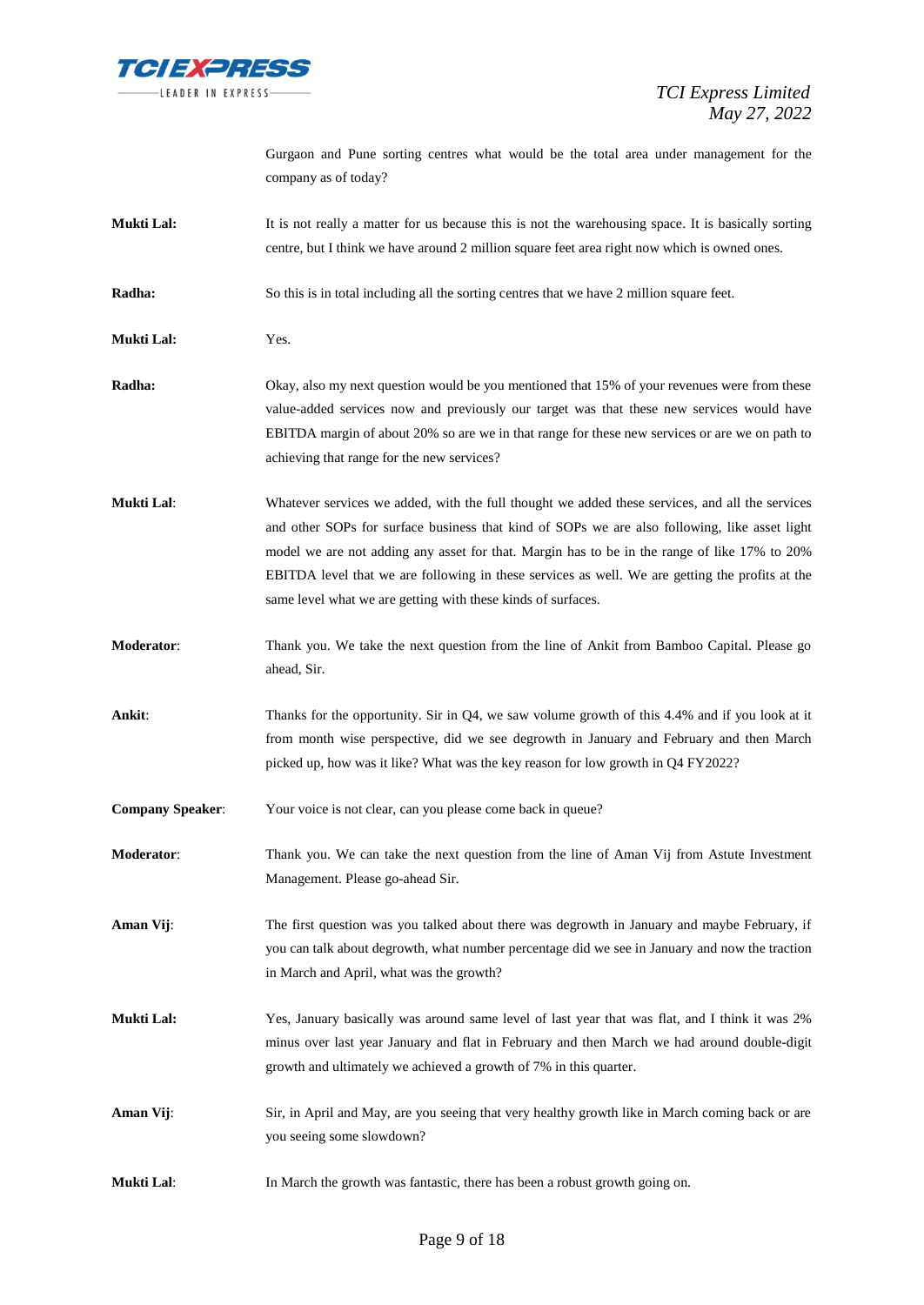

Gurgaon and Pune sorting centres what would be the total area under management for the company as of today?

- **Mukti Lal:** It is not really a matter for us because this is not the warehousing space. It is basically sorting centre, but I think we have around 2 million square feet area right now which is owned ones.
- **Radha:** So this is in total including all the sorting centres that we have 2 million square feet.
- **Mukti Lal:** Yes.
- **Radha:** Okay, also my next question would be you mentioned that 15% of your revenues were from these value-added services now and previously our target was that these new services would have EBITDA margin of about 20% so are we in that range for these new services or are we on path to achieving that range for the new services?
- **Mukti Lal**: Whatever services we added, with the full thought we added these services, and all the services and other SOPs for surface business that kind of SOPs we are also following, like asset light model we are not adding any asset for that. Margin has to be in the range of like 17% to 20% EBITDA level that we are following in these services as well. We are getting the profits at the same level what we are getting with these kinds of surfaces.
- **Moderator**: Thank you. We take the next question from the line of Ankit from Bamboo Capital. Please go ahead, Sir.
- **Ankit**: Thanks for the opportunity. Sir in Q4, we saw volume growth of this 4.4% and if you look at it from month wise perspective, did we see degrowth in January and February and then March picked up, how was it like? What was the key reason for low growth in Q4 FY2022?
- **Company Speaker:** Your voice is not clear, can you please come back in queue?
- **Moderator**: Thank you. We can take the next question from the line of Aman Vij from Astute Investment Management. Please go-ahead Sir.
- **Aman Vij:** The first question was you talked about there was degrowth in January and maybe February, if you can talk about degrowth, what number percentage did we see in January and now the traction in March and April, what was the growth?
- **Mukti Lal:** Yes, January basically was around same level of last year that was flat, and I think it was 2% minus over last year January and flat in February and then March we had around double-digit growth and ultimately we achieved a growth of 7% in this quarter.
- **Aman Vij:** Sir, in April and May, are you seeing that very healthy growth like in March coming back or are you seeing some slowdown?
- **Mukti Lal**: In March the growth was fantastic, there has been a robust growth going on.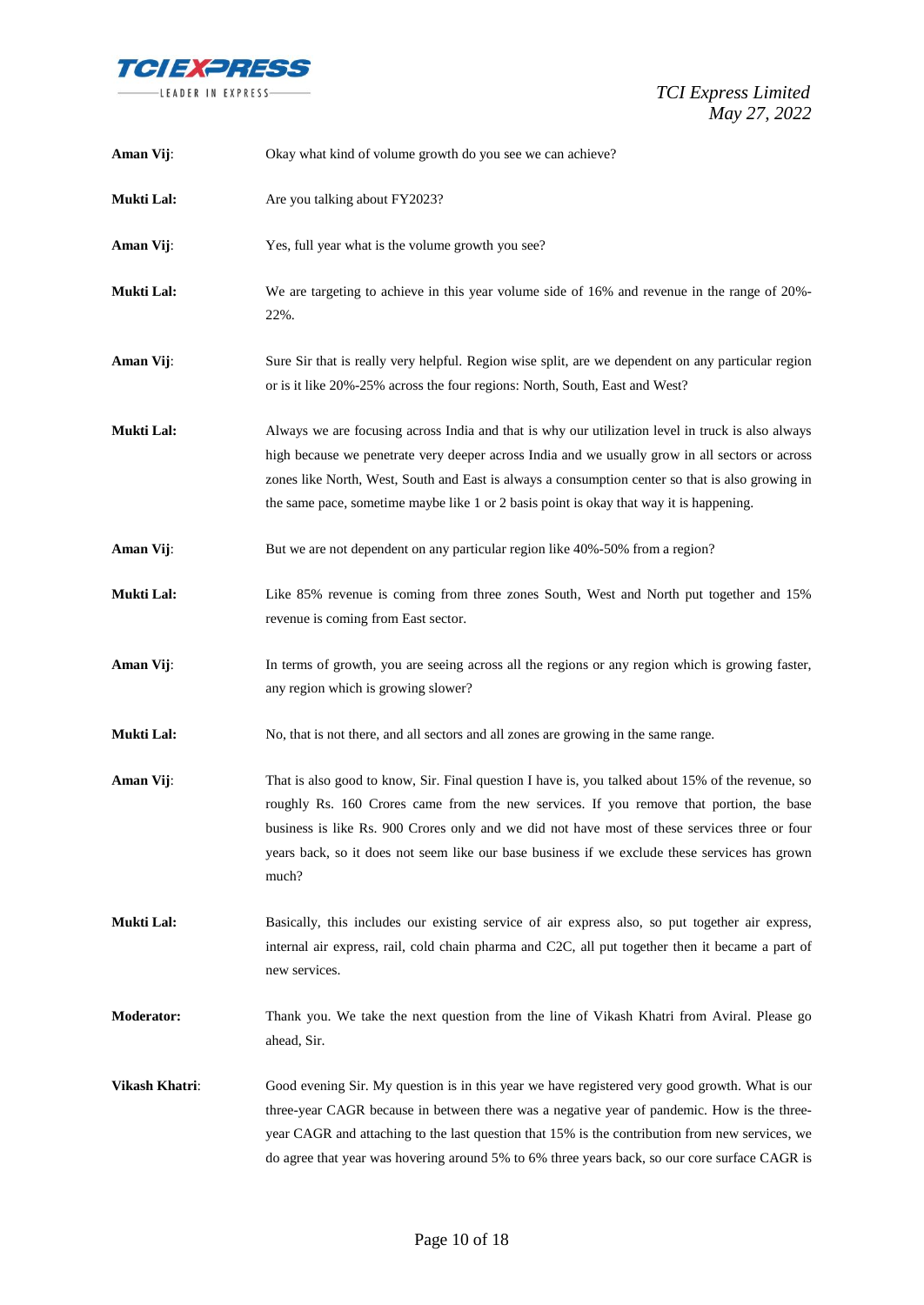

| Aman Vij:             | Okay what kind of volume growth do you see we can achieve?                                                                                                                                                                                                                                                                                                                                              |
|-----------------------|---------------------------------------------------------------------------------------------------------------------------------------------------------------------------------------------------------------------------------------------------------------------------------------------------------------------------------------------------------------------------------------------------------|
| Mukti Lal:            | Are you talking about FY2023?                                                                                                                                                                                                                                                                                                                                                                           |
| Aman Vij:             | Yes, full year what is the volume growth you see?                                                                                                                                                                                                                                                                                                                                                       |
| Mukti Lal:            | We are targeting to achieve in this year volume side of 16% and revenue in the range of 20%-<br>22%.                                                                                                                                                                                                                                                                                                    |
| Aman Vij:             | Sure Sir that is really very helpful. Region wise split, are we dependent on any particular region<br>or is it like 20%-25% across the four regions: North, South, East and West?                                                                                                                                                                                                                       |
| Mukti Lal:            | Always we are focusing across India and that is why our utilization level in truck is also always<br>high because we penetrate very deeper across India and we usually grow in all sectors or across<br>zones like North, West, South and East is always a consumption center so that is also growing in<br>the same pace, sometime maybe like 1 or 2 basis point is okay that way it is happening.     |
| Aman Vij:             | But we are not dependent on any particular region like 40%-50% from a region?                                                                                                                                                                                                                                                                                                                           |
| Mukti Lal:            | Like 85% revenue is coming from three zones South, West and North put together and 15%<br>revenue is coming from East sector.                                                                                                                                                                                                                                                                           |
| Aman Vij:             | In terms of growth, you are seeing across all the regions or any region which is growing faster,<br>any region which is growing slower?                                                                                                                                                                                                                                                                 |
| Mukti Lal:            | No, that is not there, and all sectors and all zones are growing in the same range.                                                                                                                                                                                                                                                                                                                     |
| Aman Vij:             | That is also good to know, Sir. Final question I have is, you talked about 15% of the revenue, so<br>roughly Rs. 160 Crores came from the new services. If you remove that portion, the base<br>business is like Rs. 900 Crores only and we did not have most of these services three or four<br>years back, so it does not seem like our base business if we exclude these services has grown<br>much? |
| Mukti Lal:            | Basically, this includes our existing service of air express also, so put together air express,<br>internal air express, rail, cold chain pharma and C2C, all put together then it became a part of<br>new services.                                                                                                                                                                                    |
| <b>Moderator:</b>     | Thank you. We take the next question from the line of Vikash Khatri from Aviral. Please go<br>ahead, Sir.                                                                                                                                                                                                                                                                                               |
| <b>Vikash Khatri:</b> | Good evening Sir. My question is in this year we have registered very good growth. What is our<br>three-year CAGR because in between there was a negative year of pandemic. How is the three-<br>year CAGR and attaching to the last question that 15% is the contribution from new services, we<br>do agree that year was hovering around 5% to 6% three years back, so our core surface CAGR is       |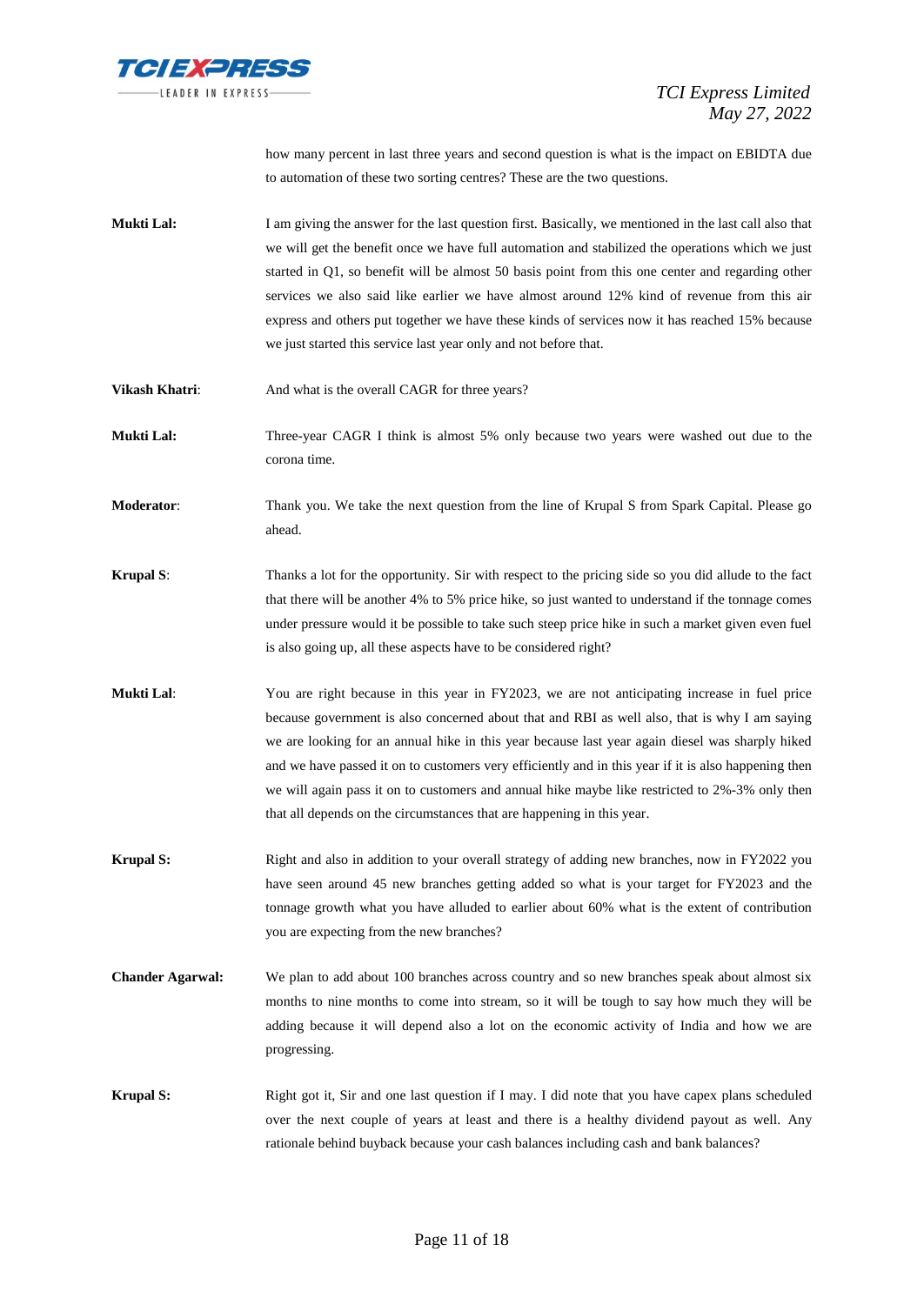

how many percent in last three years and second question is what is the impact on EBIDTA due to automation of these two sorting centres? These are the two questions.

- **Mukti Lal:** I am giving the answer for the last question first. Basically, we mentioned in the last call also that we will get the benefit once we have full automation and stabilized the operations which we just started in Q1, so benefit will be almost 50 basis point from this one center and regarding other services we also said like earlier we have almost around 12% kind of revenue from this air express and others put together we have these kinds of services now it has reached 15% because we just started this service last year only and not before that.
- **Vikash Khatri:** And what is the overall CAGR for three years?
- **Mukti Lal:** Three-year CAGR I think is almost 5% only because two years were washed out due to the corona time.
- **Moderator**: Thank you. We take the next question from the line of Krupal S from Spark Capital. Please go ahead.
- **Krupal S:** Thanks a lot for the opportunity. Sir with respect to the pricing side so you did allude to the fact that there will be another 4% to 5% price hike, so just wanted to understand if the tonnage comes under pressure would it be possible to take such steep price hike in such a market given even fuel is also going up, all these aspects have to be considered right?
- **Mukti Lal**: You are right because in this year in FY2023, we are not anticipating increase in fuel price because government is also concerned about that and RBI as well also, that is why I am saying we are looking for an annual hike in this year because last year again diesel was sharply hiked and we have passed it on to customers very efficiently and in this year if it is also happening then we will again pass it on to customers and annual hike maybe like restricted to 2%-3% only then that all depends on the circumstances that are happening in this year.
- **Krupal S:** Right and also in addition to your overall strategy of adding new branches, now in FY2022 you have seen around 45 new branches getting added so what is your target for FY2023 and the tonnage growth what you have alluded to earlier about 60% what is the extent of contribution you are expecting from the new branches?
- **Chander Agarwal:** We plan to add about 100 branches across country and so new branches speak about almost six months to nine months to come into stream, so it will be tough to say how much they will be adding because it will depend also a lot on the economic activity of India and how we are progressing.
- **Krupal S:** Right got it, Sir and one last question if I may. I did note that you have capex plans scheduled over the next couple of years at least and there is a healthy dividend payout as well. Any rationale behind buyback because your cash balances including cash and bank balances?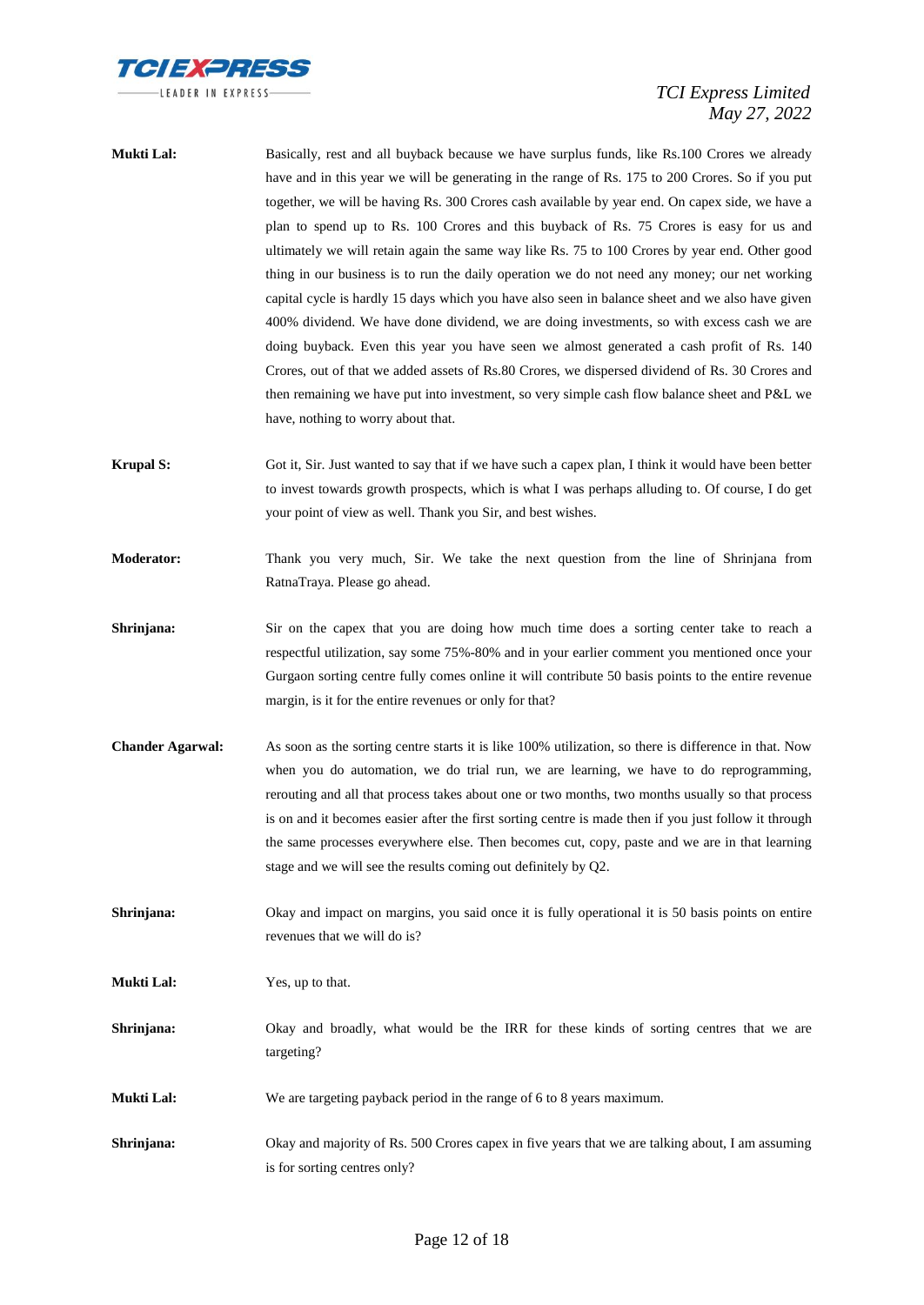

## *TCI Express Limited May 27, 2022*

- **Mukti Lal:** Basically, rest and all buyback because we have surplus funds, like Rs.100 Crores we already have and in this year we will be generating in the range of Rs. 175 to 200 Crores. So if you put together, we will be having Rs. 300 Crores cash available by year end. On capex side, we have a plan to spend up to Rs. 100 Crores and this buyback of Rs. 75 Crores is easy for us and ultimately we will retain again the same way like Rs. 75 to 100 Crores by year end. Other good thing in our business is to run the daily operation we do not need any money; our net working capital cycle is hardly 15 days which you have also seen in balance sheet and we also have given 400% dividend. We have done dividend, we are doing investments, so with excess cash we are doing buyback. Even this year you have seen we almost generated a cash profit of Rs. 140 Crores, out of that we added assets of Rs.80 Crores, we dispersed dividend of Rs. 30 Crores and then remaining we have put into investment, so very simple cash flow balance sheet and P&L we have, nothing to worry about that.
- **Krupal S:** Got it, Sir. Just wanted to say that if we have such a capex plan, I think it would have been better to invest towards growth prospects, which is what I was perhaps alluding to. Of course, I do get your point of view as well. Thank you Sir, and best wishes.
- **Moderator:** Thank you very much, Sir. We take the next question from the line of Shrinjana from RatnaTraya. Please go ahead.
- **Shrinjana:** Sir on the capex that you are doing how much time does a sorting center take to reach a respectful utilization, say some 75%-80% and in your earlier comment you mentioned once your Gurgaon sorting centre fully comes online it will contribute 50 basis points to the entire revenue margin, is it for the entire revenues or only for that?
- **Chander Agarwal:** As soon as the sorting centre starts it is like 100% utilization, so there is difference in that. Now when you do automation, we do trial run, we are learning, we have to do reprogramming, rerouting and all that process takes about one or two months, two months usually so that process is on and it becomes easier after the first sorting centre is made then if you just follow it through the same processes everywhere else. Then becomes cut, copy, paste and we are in that learning stage and we will see the results coming out definitely by Q2.
- **Shrinjana:** Okay and impact on margins, you said once it is fully operational it is 50 basis points on entire revenues that we will do is?
- **Mukti Lal:** Yes, up to that.
- Shrinjana: Okay and broadly, what would be the IRR for these kinds of sorting centres that we are targeting?
- **Mukti Lal:** We are targeting payback period in the range of 6 to 8 years maximum.
- **Shrinjana:** Okay and majority of Rs. 500 Crores capex in five years that we are talking about, I am assuming is for sorting centres only?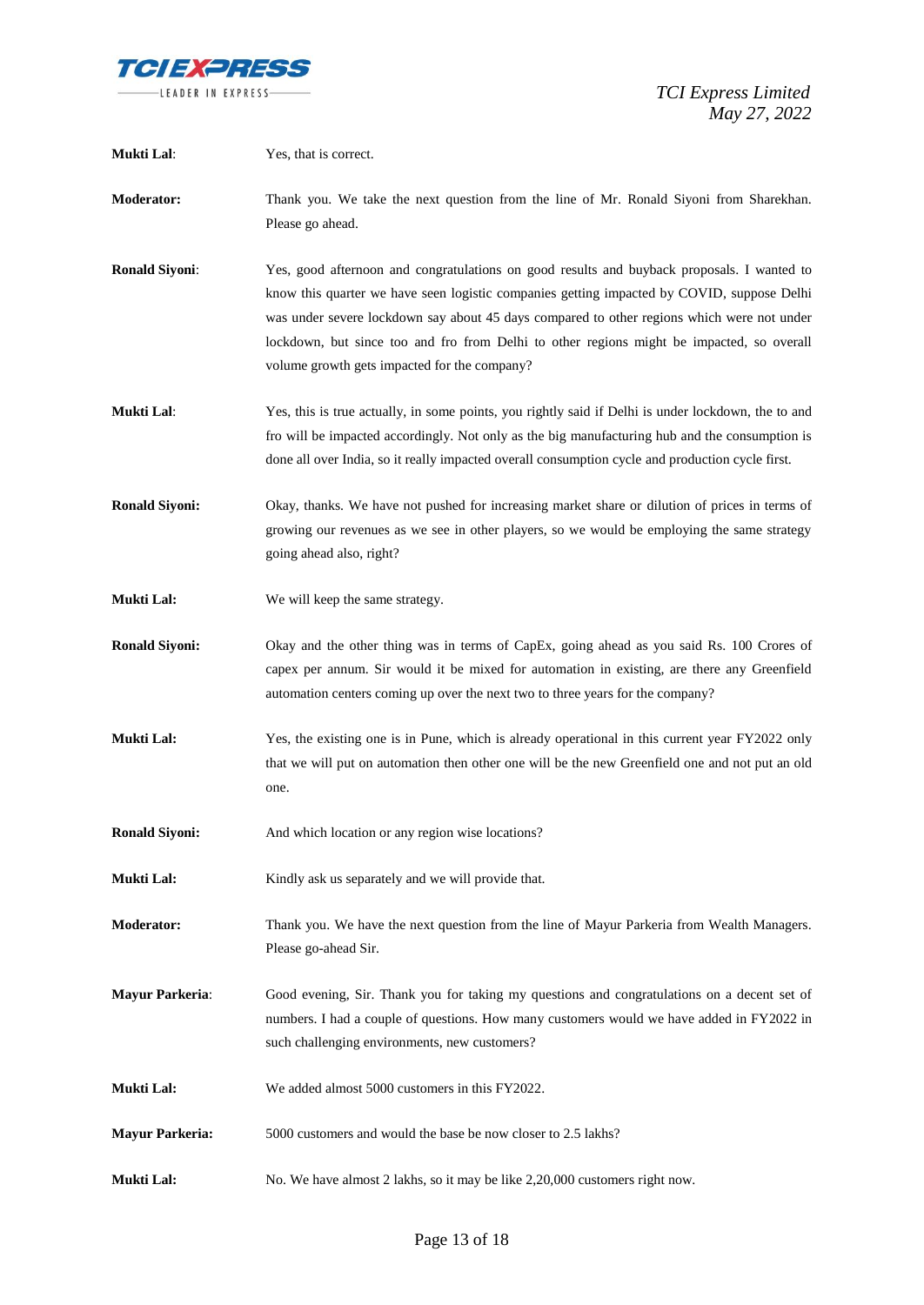

| <b>Mukti Lal:</b>      | Yes, that is correct.                                                                                                                                                                                                                                                                                                                                                                                                               |
|------------------------|-------------------------------------------------------------------------------------------------------------------------------------------------------------------------------------------------------------------------------------------------------------------------------------------------------------------------------------------------------------------------------------------------------------------------------------|
| Moderator:             | Thank you. We take the next question from the line of Mr. Ronald Siyoni from Sharekhan.<br>Please go ahead.                                                                                                                                                                                                                                                                                                                         |
| Ronald Siyoni:         | Yes, good afternoon and congratulations on good results and buyback proposals. I wanted to<br>know this quarter we have seen logistic companies getting impacted by COVID, suppose Delhi<br>was under severe lockdown say about 45 days compared to other regions which were not under<br>lockdown, but since too and fro from Delhi to other regions might be impacted, so overall<br>volume growth gets impacted for the company? |
| <b>Mukti Lal:</b>      | Yes, this is true actually, in some points, you rightly said if Delhi is under lockdown, the to and<br>fro will be impacted accordingly. Not only as the big manufacturing hub and the consumption is<br>done all over India, so it really impacted overall consumption cycle and production cycle first.                                                                                                                           |
| <b>Ronald Siyoni:</b>  | Okay, thanks. We have not pushed for increasing market share or dilution of prices in terms of<br>growing our revenues as we see in other players, so we would be employing the same strategy<br>going ahead also, right?                                                                                                                                                                                                           |
| Mukti Lal:             | We will keep the same strategy.                                                                                                                                                                                                                                                                                                                                                                                                     |
| <b>Ronald Siyoni:</b>  | Okay and the other thing was in terms of CapEx, going ahead as you said Rs. 100 Crores of<br>capex per annum. Sir would it be mixed for automation in existing, are there any Greenfield<br>automation centers coming up over the next two to three years for the company?                                                                                                                                                          |
| Mukti Lal:             | Yes, the existing one is in Pune, which is already operational in this current year FY2022 only<br>that we will put on automation then other one will be the new Greenfield one and not put an old<br>one.                                                                                                                                                                                                                          |
| <b>Ronald Siyoni:</b>  | And which location or any region wise locations?                                                                                                                                                                                                                                                                                                                                                                                    |
| <b>Mukti Lal:</b>      | Kindly ask us separately and we will provide that.                                                                                                                                                                                                                                                                                                                                                                                  |
| <b>Moderator:</b>      | Thank you. We have the next question from the line of Mayur Parkeria from Wealth Managers.<br>Please go-ahead Sir.                                                                                                                                                                                                                                                                                                                  |
| <b>Mayur Parkeria:</b> | Good evening, Sir. Thank you for taking my questions and congratulations on a decent set of<br>numbers. I had a couple of questions. How many customers would we have added in FY2022 in<br>such challenging environments, new customers?                                                                                                                                                                                           |
| Mukti Lal:             | We added almost 5000 customers in this FY2022.                                                                                                                                                                                                                                                                                                                                                                                      |
| <b>Mayur Parkeria:</b> | 5000 customers and would the base be now closer to 2.5 lakhs?                                                                                                                                                                                                                                                                                                                                                                       |
| Mukti Lal:             | No. We have almost 2 lakhs, so it may be like 2,20,000 customers right now.                                                                                                                                                                                                                                                                                                                                                         |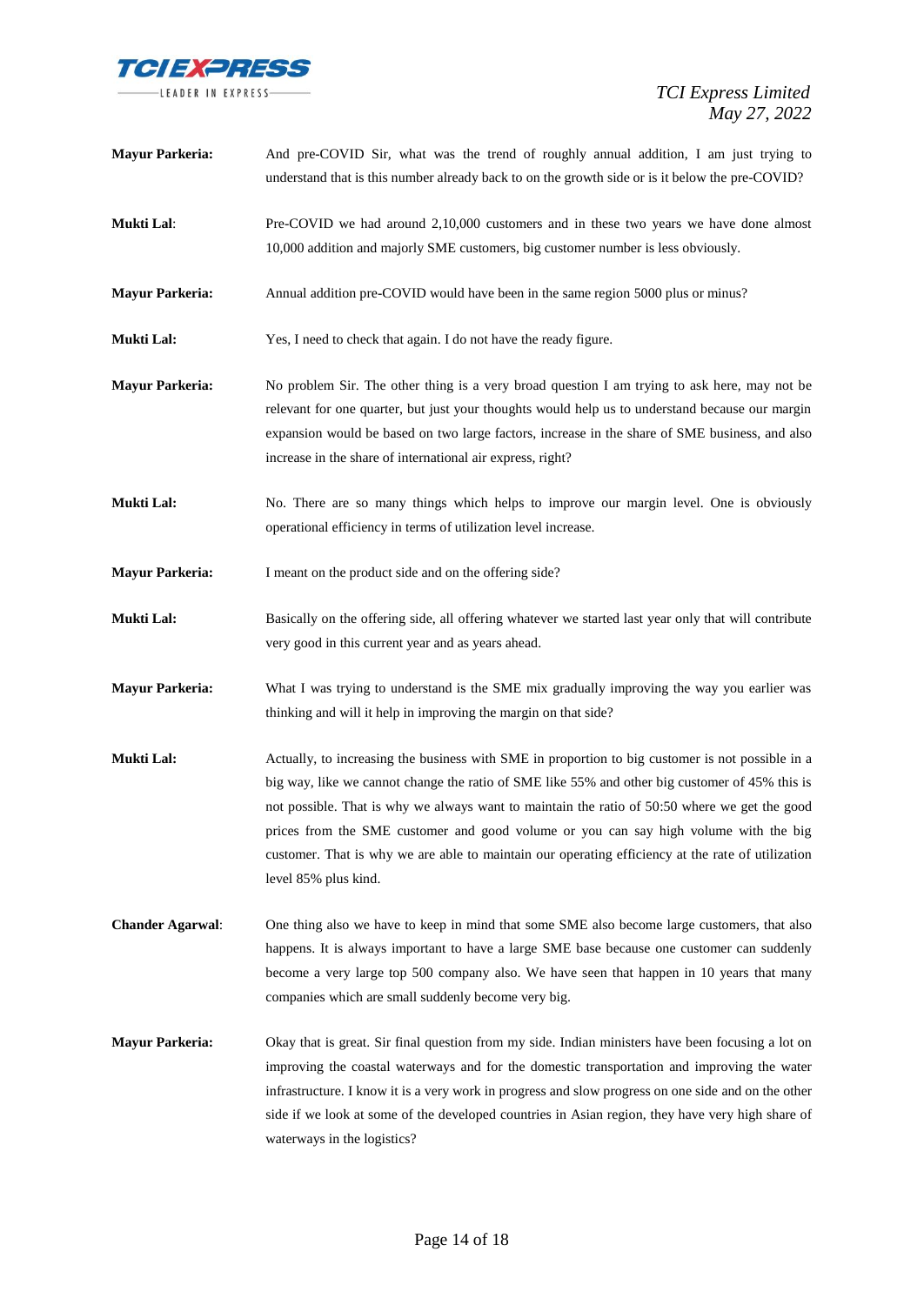

- **Mayur Parkeria:** And pre-COVID Sir, what was the trend of roughly annual addition, I am just trying to understand that is this number already back to on the growth side or is it below the pre-COVID?
- **Mukti Lal**: Pre-COVID we had around 2,10,000 customers and in these two years we have done almost 10,000 addition and majorly SME customers, big customer number is less obviously.
- **Mayur Parkeria:** Annual addition pre-COVID would have been in the same region 5000 plus or minus?
- **Mukti Lal:** Yes, I need to check that again. I do not have the ready figure.
- **Mayur Parkeria:** No problem Sir. The other thing is a very broad question I am trying to ask here, may not be relevant for one quarter, but just your thoughts would help us to understand because our margin expansion would be based on two large factors, increase in the share of SME business, and also increase in the share of international air express, right?
- **Mukti Lal:** No. There are so many things which helps to improve our margin level. One is obviously operational efficiency in terms of utilization level increase.
- **Mayur Parkeria:** I meant on the product side and on the offering side?
- **Mukti Lal:** Basically on the offering side, all offering whatever we started last year only that will contribute very good in this current year and as years ahead.
- **Mayur Parkeria:** What I was trying to understand is the SME mix gradually improving the way you earlier was thinking and will it help in improving the margin on that side?
- **Mukti Lal:** Actually, to increasing the business with SME in proportion to big customer is not possible in a big way, like we cannot change the ratio of SME like 55% and other big customer of 45% this is not possible. That is why we always want to maintain the ratio of 50:50 where we get the good prices from the SME customer and good volume or you can say high volume with the big customer. That is why we are able to maintain our operating efficiency at the rate of utilization level 85% plus kind.
- **Chander Agarwal**: One thing also we have to keep in mind that some SME also become large customers, that also happens. It is always important to have a large SME base because one customer can suddenly become a very large top 500 company also. We have seen that happen in 10 years that many companies which are small suddenly become very big.
- **Mayur Parkeria:** Okay that is great. Sir final question from my side. Indian ministers have been focusing a lot on improving the coastal waterways and for the domestic transportation and improving the water infrastructure. I know it is a very work in progress and slow progress on one side and on the other side if we look at some of the developed countries in Asian region, they have very high share of waterways in the logistics?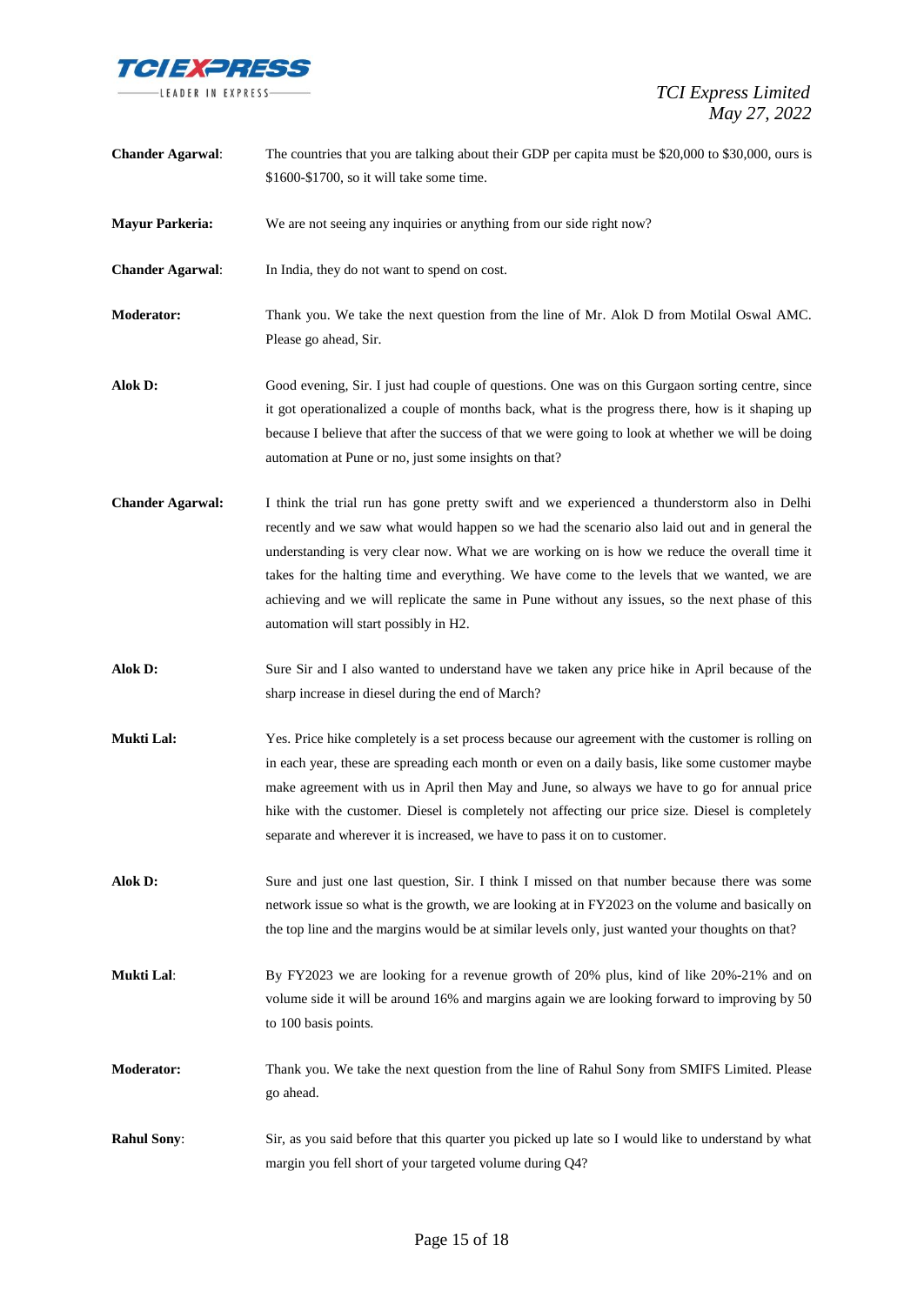

| <b>Chander Agarwal:</b> | The countries that you are talking about their GDP per capita must be \$20,000 to \$30,000, ours is<br>\$1600-\$1700, so it will take some time.                                                                                                                                                                                                                                                                                                                                                                                        |
|-------------------------|-----------------------------------------------------------------------------------------------------------------------------------------------------------------------------------------------------------------------------------------------------------------------------------------------------------------------------------------------------------------------------------------------------------------------------------------------------------------------------------------------------------------------------------------|
| <b>Mayur Parkeria:</b>  | We are not seeing any inquiries or anything from our side right now?                                                                                                                                                                                                                                                                                                                                                                                                                                                                    |
| <b>Chander Agarwal:</b> | In India, they do not want to spend on cost.                                                                                                                                                                                                                                                                                                                                                                                                                                                                                            |
| <b>Moderator:</b>       | Thank you. We take the next question from the line of Mr. Alok D from Motilal Oswal AMC.<br>Please go ahead, Sir.                                                                                                                                                                                                                                                                                                                                                                                                                       |
| Alok D:                 | Good evening, Sir. I just had couple of questions. One was on this Gurgaon sorting centre, since<br>it got operationalized a couple of months back, what is the progress there, how is it shaping up<br>because I believe that after the success of that we were going to look at whether we will be doing<br>automation at Pune or no, just some insights on that?                                                                                                                                                                     |
| <b>Chander Agarwal:</b> | I think the trial run has gone pretty swift and we experienced a thunderstorm also in Delhi<br>recently and we saw what would happen so we had the scenario also laid out and in general the<br>understanding is very clear now. What we are working on is how we reduce the overall time it<br>takes for the halting time and everything. We have come to the levels that we wanted, we are<br>achieving and we will replicate the same in Pune without any issues, so the next phase of this<br>automation will start possibly in H2. |
| Alok D:                 | Sure Sir and I also wanted to understand have we taken any price hike in April because of the<br>sharp increase in diesel during the end of March?                                                                                                                                                                                                                                                                                                                                                                                      |
| <b>Mukti Lal:</b>       | Yes. Price hike completely is a set process because our agreement with the customer is rolling on<br>in each year, these are spreading each month or even on a daily basis, like some customer maybe<br>make agreement with us in April then May and June, so always we have to go for annual price<br>hike with the customer. Diesel is completely not affecting our price size. Diesel is completely<br>separate and wherever it is increased, we have to pass it on to customer.                                                     |
| Alok D:                 | Sure and just one last question, Sir. I think I missed on that number because there was some<br>network issue so what is the growth, we are looking at in FY2023 on the volume and basically on<br>the top line and the margins would be at similar levels only, just wanted your thoughts on that?                                                                                                                                                                                                                                     |
| <b>Mukti Lal:</b>       | By FY2023 we are looking for a revenue growth of 20% plus, kind of like 20%-21% and on<br>volume side it will be around 16% and margins again we are looking forward to improving by 50<br>to 100 basis points.                                                                                                                                                                                                                                                                                                                         |
| <b>Moderator:</b>       | Thank you. We take the next question from the line of Rahul Sony from SMIFS Limited. Please<br>go ahead.                                                                                                                                                                                                                                                                                                                                                                                                                                |
| <b>Rahul Sony:</b>      | Sir, as you said before that this quarter you picked up late so I would like to understand by what<br>margin you fell short of your targeted volume during Q4?                                                                                                                                                                                                                                                                                                                                                                          |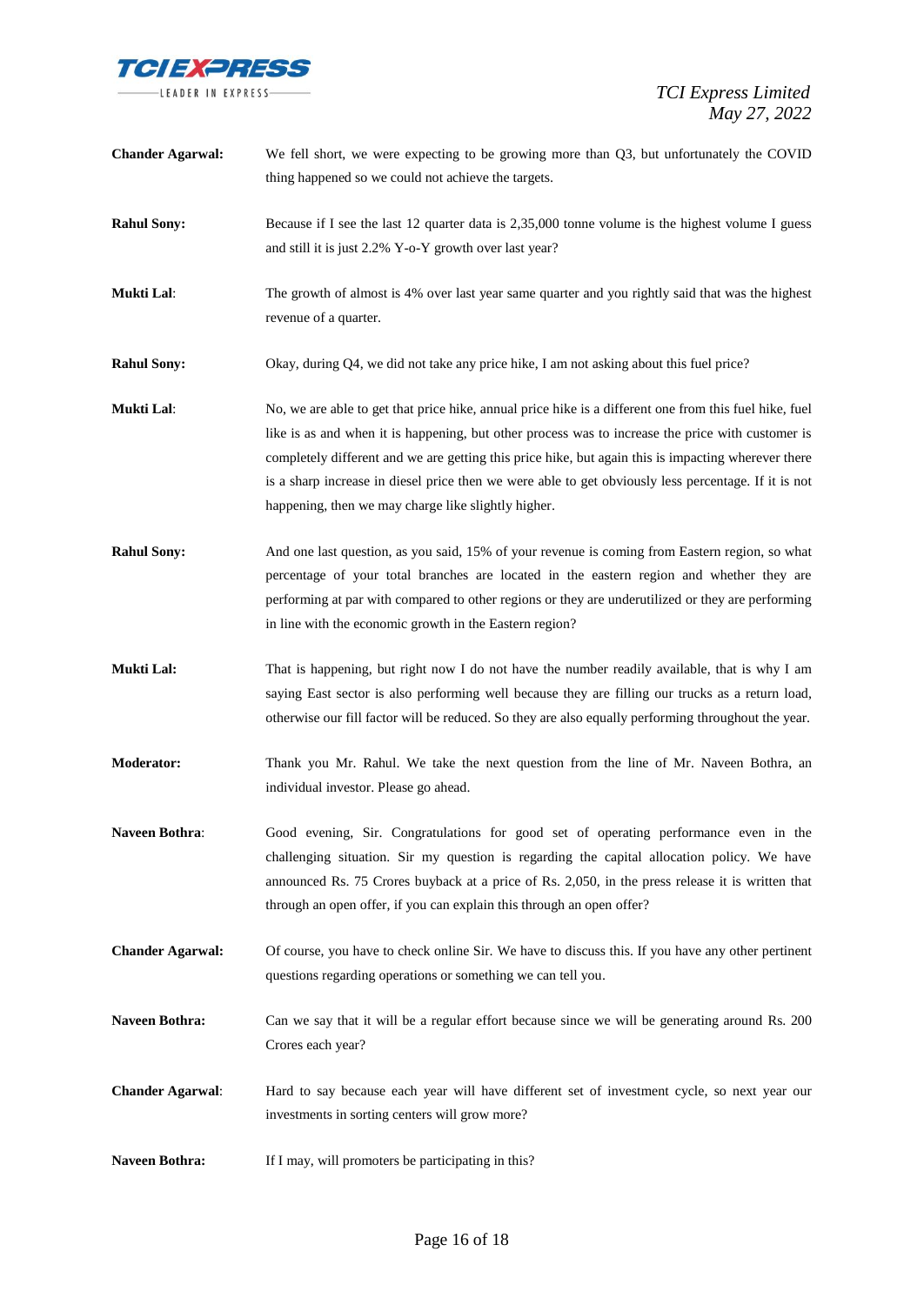

| <b>Chander Agarwal:</b> | We fell short, we were expecting to be growing more than Q3, but unfortunately the COVID<br>thing happened so we could not achieve the targets.                                                                                                                                                                                                                                                                                                                                   |
|-------------------------|-----------------------------------------------------------------------------------------------------------------------------------------------------------------------------------------------------------------------------------------------------------------------------------------------------------------------------------------------------------------------------------------------------------------------------------------------------------------------------------|
| <b>Rahul Sony:</b>      | Because if I see the last 12 quarter data is 2,35,000 tonne volume is the highest volume I guess<br>and still it is just 2.2% Y-o-Y growth over last year?                                                                                                                                                                                                                                                                                                                        |
| Mukti Lal:              | The growth of almost is 4% over last year same quarter and you rightly said that was the highest<br>revenue of a quarter.                                                                                                                                                                                                                                                                                                                                                         |
| <b>Rahul Sony:</b>      | Okay, during Q4, we did not take any price hike, I am not asking about this fuel price?                                                                                                                                                                                                                                                                                                                                                                                           |
| Mukti Lal:              | No, we are able to get that price hike, annual price hike is a different one from this fuel hike, fuel<br>like is as and when it is happening, but other process was to increase the price with customer is<br>completely different and we are getting this price hike, but again this is impacting wherever there<br>is a sharp increase in diesel price then we were able to get obviously less percentage. If it is not<br>happening, then we may charge like slightly higher. |
| <b>Rahul Sony:</b>      | And one last question, as you said, 15% of your revenue is coming from Eastern region, so what<br>percentage of your total branches are located in the eastern region and whether they are<br>performing at par with compared to other regions or they are underutilized or they are performing<br>in line with the economic growth in the Eastern region?                                                                                                                        |
| Mukti Lal:              | That is happening, but right now I do not have the number readily available, that is why I am<br>saying East sector is also performing well because they are filling our trucks as a return load,<br>otherwise our fill factor will be reduced. So they are also equally performing throughout the year.                                                                                                                                                                          |
| <b>Moderator:</b>       | Thank you Mr. Rahul. We take the next question from the line of Mr. Naveen Bothra, an<br>individual investor. Please go ahead.                                                                                                                                                                                                                                                                                                                                                    |
| <b>Naveen Bothra:</b>   | Good evening, Sir. Congratulations for good set of operating performance even in the<br>challenging situation. Sir my question is regarding the capital allocation policy. We have<br>announced Rs. 75 Crores buyback at a price of Rs. 2,050, in the press release it is written that<br>through an open offer, if you can explain this through an open offer?                                                                                                                   |
| <b>Chander Agarwal:</b> | Of course, you have to check online Sir. We have to discuss this. If you have any other pertinent<br>questions regarding operations or something we can tell you.                                                                                                                                                                                                                                                                                                                 |
| Naveen Bothra:          | Can we say that it will be a regular effort because since we will be generating around Rs. 200<br>Crores each year?                                                                                                                                                                                                                                                                                                                                                               |
| <b>Chander Agarwal:</b> | Hard to say because each year will have different set of investment cycle, so next year our<br>investments in sorting centers will grow more?                                                                                                                                                                                                                                                                                                                                     |
| <b>Naveen Bothra:</b>   | If I may, will promoters be participating in this?                                                                                                                                                                                                                                                                                                                                                                                                                                |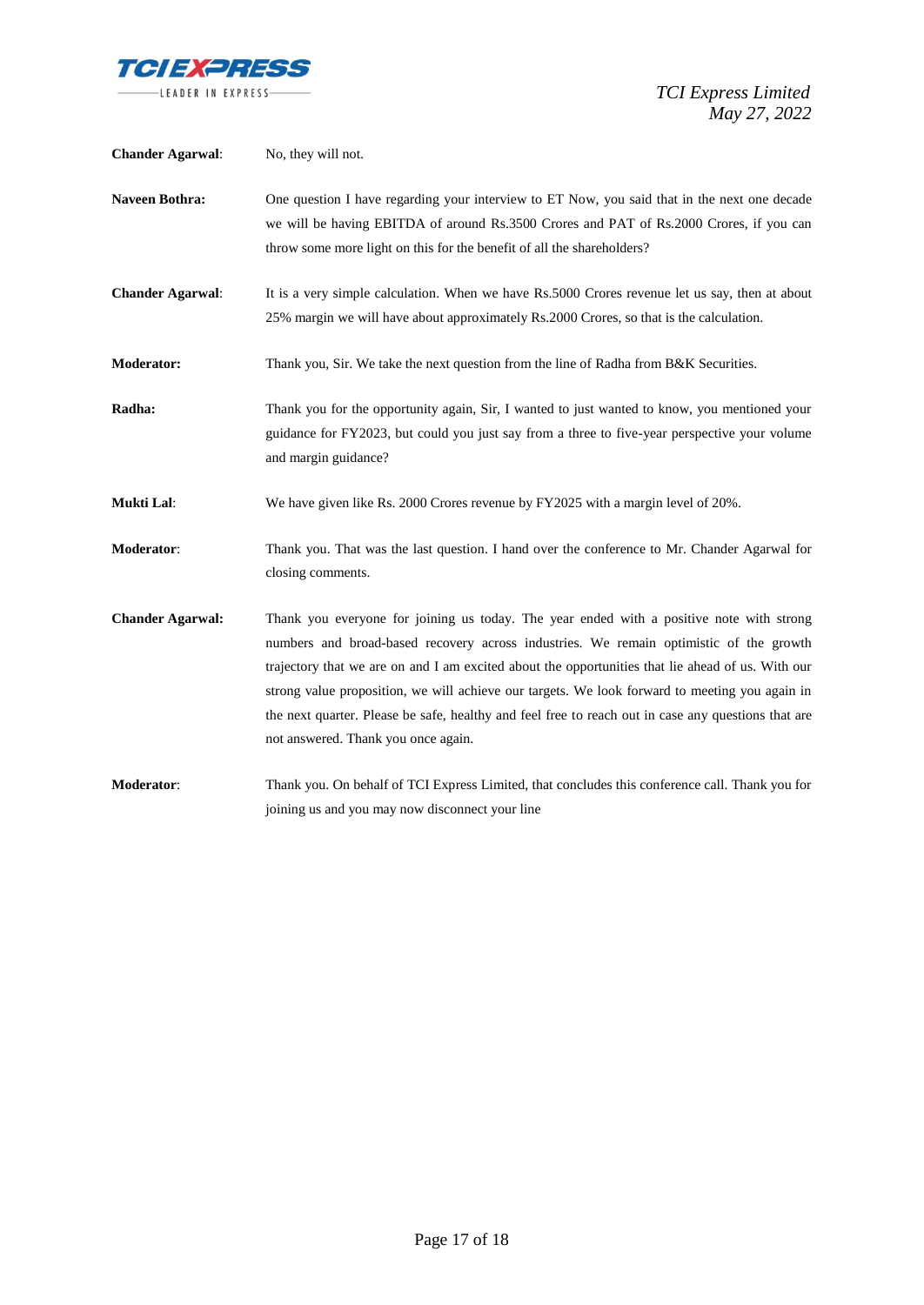

| <b>Chander Agarwal:</b> | No, they will not.                                                                                                                                                                                                                                                                                                                                                                                                                                                                                                                      |
|-------------------------|-----------------------------------------------------------------------------------------------------------------------------------------------------------------------------------------------------------------------------------------------------------------------------------------------------------------------------------------------------------------------------------------------------------------------------------------------------------------------------------------------------------------------------------------|
| <b>Naveen Bothra:</b>   | One question I have regarding your interview to ET Now, you said that in the next one decade<br>we will be having EBITDA of around Rs.3500 Crores and PAT of Rs.2000 Crores, if you can<br>throw some more light on this for the benefit of all the shareholders?                                                                                                                                                                                                                                                                       |
| <b>Chander Agarwal:</b> | It is a very simple calculation. When we have Rs.5000 Crores revenue let us say, then at about<br>25% margin we will have about approximately Rs.2000 Crores, so that is the calculation.                                                                                                                                                                                                                                                                                                                                               |
| <b>Moderator:</b>       | Thank you, Sir. We take the next question from the line of Radha from B&K Securities.                                                                                                                                                                                                                                                                                                                                                                                                                                                   |
| Radha:                  | Thank you for the opportunity again, Sir, I wanted to just wanted to know, you mentioned your<br>guidance for FY2023, but could you just say from a three to five-year perspective your volume<br>and margin guidance?                                                                                                                                                                                                                                                                                                                  |
| <b>Mukti Lal:</b>       | We have given like Rs. 2000 Crores revenue by FY2025 with a margin level of 20%.                                                                                                                                                                                                                                                                                                                                                                                                                                                        |
| <b>Moderator:</b>       | Thank you. That was the last question. I hand over the conference to Mr. Chander Agarwal for<br>closing comments.                                                                                                                                                                                                                                                                                                                                                                                                                       |
| <b>Chander Agarwal:</b> | Thank you everyone for joining us today. The year ended with a positive note with strong<br>numbers and broad-based recovery across industries. We remain optimistic of the growth<br>trajectory that we are on and I am excited about the opportunities that lie ahead of us. With our<br>strong value proposition, we will achieve our targets. We look forward to meeting you again in<br>the next quarter. Please be safe, healthy and feel free to reach out in case any questions that are<br>not answered. Thank you once again. |
| Moderator:              | Thank you. On behalf of TCI Express Limited, that concludes this conference call. Thank you for<br>joining us and you may now disconnect your line                                                                                                                                                                                                                                                                                                                                                                                      |